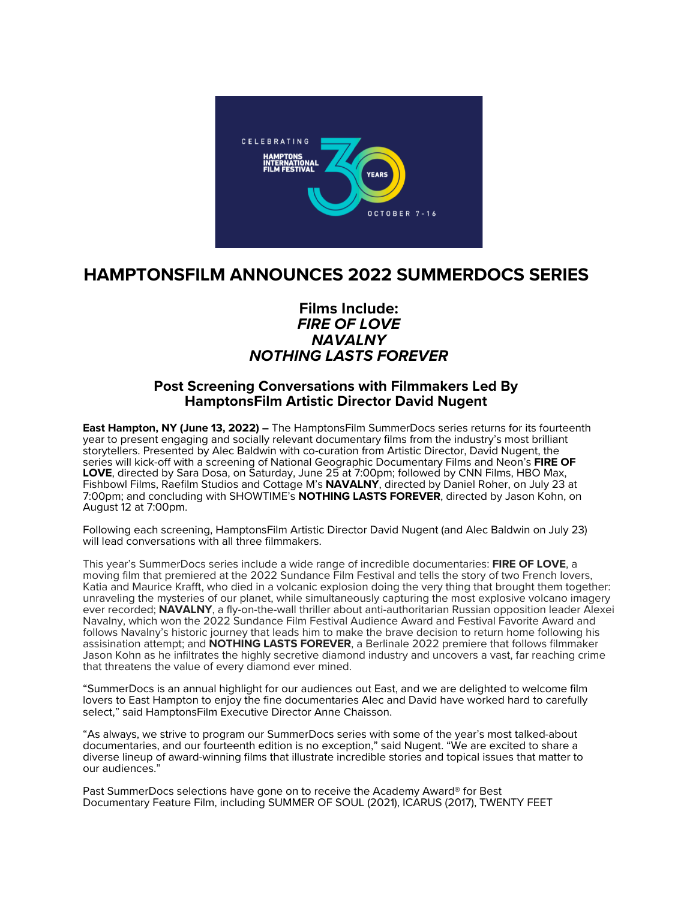

# **HAMPTONSFILM ANNOUNCES 2022 SUMMERDOCS SERIES**

# **Films Include:** *FIRE OF LOVE NAVALNY NOTHING LASTS FOREVER*

# **Post Screening Conversations with Filmmakers Led By HamptonsFilm Artistic Director David Nugent**

**East Hampton, NY (June 13, 2022) –** The HamptonsFilm SummerDocs series returns for its fourteenth year to present engaging and socially relevant documentary films from the industry's most brilliant storytellers. Presented by Alec Baldwin with co-curation from Artistic Director, David Nugent, the series will kick-off with a screening of National Geographic Documentary Films and Neon's **FIRE OF LOVE**, directed by Sara Dosa, on Saturday, June 25 at 7:00pm; followed by CNN Films, HBO Max, Fishbowl Films, Raefilm Studios and Cottage M's **NAVALNY**, directed by Daniel Roher, on July 23 at 7:00pm; and concluding with SHOWTIME's **NOTHING LASTS FOREVER**, directed by Jason Kohn, on August 12 at 7:00pm.

Following each screening, HamptonsFilm Artistic Director David Nugent (and Alec Baldwin on July 23) will lead conversations with all three filmmakers.

This year's SummerDocs series include a wide range of incredible documentaries: **FIRE OF LOVE**, a moving film that premiered at the 2022 Sundance Film Festival and tells the story of two French lovers, Katia and Maurice Krafft, who died in a volcanic explosion doing the very thing that brought them together: unraveling the mysteries of our planet, while simultaneously capturing the most explosive volcano imagery ever recorded; **NAVALNY**, a fly-on-the-wall thriller about anti-authoritarian Russian opposition leader Alexei Navalny, which won the 2022 Sundance Film Festival Audience Award and Festival Favorite Award and follows Navalny's historic journey that leads him to make the brave decision to return home following his assisination attempt; and **NOTHING LASTS FOREVER**, a Berlinale 2022 premiere that follows filmmaker Jason Kohn as he infiltrates the highly secretive diamond industry and uncovers a vast, far reaching crime that threatens the value of every diamond ever mined.

"SummerDocs is an annual highlight for our audiences out East, and we are delighted to welcome film lovers to East Hampton to enjoy the fine documentaries Alec and David have worked hard to carefully select," said HamptonsFilm Executive Director Anne Chaisson.

"As always, we strive to program our SummerDocs series with some of the year's most talked-about documentaries, and our fourteenth edition is no exception," said Nugent. "We are excited to share a diverse lineup of award-winning films that illustrate incredible stories and topical issues that matter to our audiences."

Past SummerDocs selections have gone on to receive the Academy Award® for Best Documentary Feature Film, including SUMMER OF SOUL (2021), ICARUS (2017), TWENTY FEET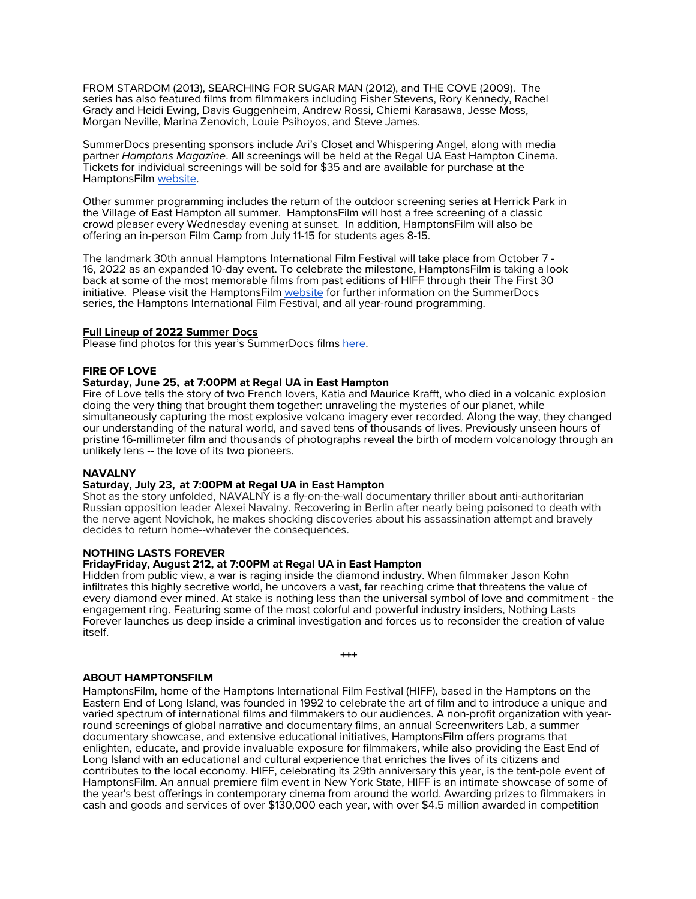FROM STARDOM (2013), SEARCHING FOR SUGAR MAN (2012), and THE COVE (2009). The series has also featured films from filmmakers including Fisher Stevens, Rory Kennedy, Rachel Grady and Heidi Ewing, Davis Guggenheim, Andrew Rossi, Chiemi Karasawa, Jesse Moss, Morgan Neville, Marina Zenovich, Louie Psihoyos, and Steve James.

SummerDocs presenting sponsors include Ari's Closet and Whispering Angel, along with media partner *Hamptons Magazine*. All screenings will be held at the Regal UA East Hampton Cinema. Tickets for individual screenings will be sold for \$35 and are available for purchase at the HamptonsFilm website.

Other summer programming includes the return of the outdoor screening series at Herrick Park in the Village of East Hampton all summer. HamptonsFilm will host a free screening of a classic crowd pleaser every Wednesday evening at sunset. In addition, HamptonsFilm will also be offering an in-person Film Camp from July 11-15 for students ages 8-15.

The landmark 30th annual Hamptons International Film Festival will take place from October 7 - 16, 2022 as an expanded 10-day event. To celebrate the milestone, HamptonsFilm is taking a look back at some of the most memorable films from past editions of HIFF through their The First 30 initiative. Please visit the HamptonsFilm website for further information on the SummerDocs series, the Hamptons International Film Festival, and all year-round programming.

#### **Full Lineup of 2022 Summer Docs**

Please find photos for this year's SummerDocs films here.

#### **FIRE OF LOVE**

# **Saturday, June 25, at 7:00PM at Regal UA in East Hampton**

Fire of Love tells the story of two French lovers, Katia and Maurice Krafft, who died in a volcanic explosion doing the very thing that brought them together: unraveling the mysteries of our planet, while simultaneously capturing the most explosive volcano imagery ever recorded. Along the way, they changed our understanding of the natural world, and saved tens of thousands of lives. Previously unseen hours of pristine 16-millimeter film and thousands of photographs reveal the birth of modern volcanology through an unlikely lens -- the love of its two pioneers.

#### **NAVALNY**

## **Saturday, July 23, at 7:00PM at Regal UA in East Hampton**

Shot as the story unfolded, NAVALNY is a fly-on-the-wall documentary thriller about anti-authoritarian Russian opposition leader Alexei Navalny. Recovering in Berlin after nearly being poisoned to death with the nerve agent Novichok, he makes shocking discoveries about his assassination attempt and bravely decides to return home--whatever the consequences.

## **NOTHING LASTS FOREVER**

# **FridayFriday, August 212, at 7:00PM at Regal UA in East Hampton**

Hidden from public view, a war is raging inside the diamond industry. When filmmaker Jason Kohn infiltrates this highly secretive world, he uncovers a vast, far reaching crime that threatens the value of every diamond ever mined. At stake is nothing less than the universal symbol of love and commitment - the engagement ring. Featuring some of the most colorful and powerful industry insiders, Nothing Lasts Forever launches us deep inside a criminal investigation and forces us to reconsider the creation of value itself.

```
+++
```
## **ABOUT HAMPTONSFILM**

HamptonsFilm, home of the Hamptons International Film Festival (HIFF), based in the Hamptons on the Eastern End of Long Island, was founded in 1992 to celebrate the art of film and to introduce a unique and round screenings of global narrative and documentary films, an annual Screenwriters Lab, a summer documentary showcase, and extensive educational initiatives, HamptonsFilm offers programs that enlighten, educate, and provide invaluable exposure for filmmakers, while also providing the East End of Long Island with an educational and cultural experience that enriches the lives of its citizens and contributes to the local economy. HIFF, celebrating its 29th anniversary this year, is the tent-pole event of HamptonsFilm. An annual premiere film event in New York State, HIFF is an intimate showcase of some of the year's best offerings in contemporary cinema from around the world. Awarding prizes to filmmakers in cash and goods and services of over \$130,000 each year, with over \$4.5 million awarded in competition